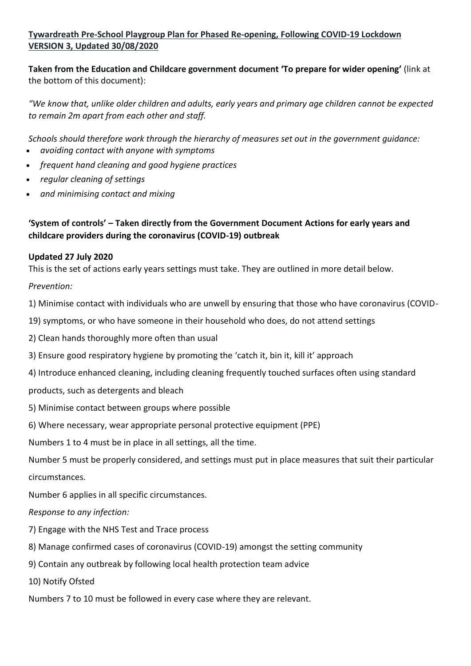# **Tywardreath Pre-School Playgroup Plan for Phased Re-opening, Following COVID-19 Lockdown VERSION 3, Updated 30/08/2020**

**Taken from the Education and Childcare government document 'To prepare for wider opening'** (link at the bottom of this document):

*"We know that, unlike older children and adults, early years and primary age children cannot be expected to remain 2m apart from each other and staff.*

*Schools should therefore work through the hierarchy of measures set out in the government guidance:*

- *avoiding contact with anyone with symptoms*
- *frequent hand cleaning and good hygiene practices*
- *regular cleaning of settings*
- *and minimising contact and mixing*

# **'System of controls' – Taken directly from the Government Document Actions for early years and childcare providers during the coronavirus (COVID-19) outbreak**

## **Updated 27 July 2020**

This is the set of actions early years settings must take. They are outlined in more detail below.

## *Prevention:*

1) Minimise contact with individuals who are unwell by ensuring that those who have coronavirus (COVID-

19) symptoms, or who have someone in their household who does, do not attend settings

- 2) Clean hands thoroughly more often than usual
- 3) Ensure good respiratory hygiene by promoting the 'catch it, bin it, kill it' approach
- 4) Introduce enhanced cleaning, including cleaning frequently touched surfaces often using standard
- products, such as detergents and bleach
- 5) Minimise contact between groups where possible
- 6) Where necessary, wear appropriate personal protective equipment (PPE)

Numbers 1 to 4 must be in place in all settings, all the time.

Number 5 must be properly considered, and settings must put in place measures that suit their particular circumstances.

Number 6 applies in all specific circumstances.

#### *Response to any infection:*

- 7) Engage with the NHS Test and Trace process
- 8) Manage confirmed cases of coronavirus (COVID-19) amongst the setting community
- 9) Contain any outbreak by following local health protection team advice
- 10) Notify Ofsted
- Numbers 7 to 10 must be followed in every case where they are relevant.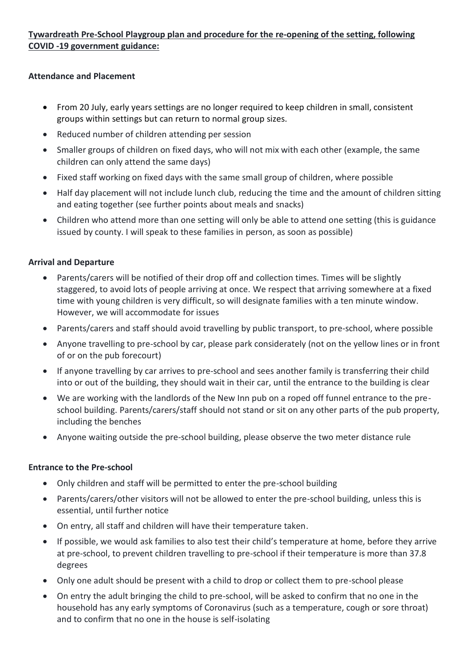# **Tywardreath Pre-School Playgroup plan and procedure for the re-opening of the setting, following COVID -19 government guidance:**

#### **Attendance and Placement**

- From 20 July, early years settings are no longer required to keep children in small, consistent groups within settings but can return to normal group sizes.
- Reduced number of children attending per session
- Smaller groups of children on fixed days, who will not mix with each other (example, the same children can only attend the same days)
- Fixed staff working on fixed days with the same small group of children, where possible
- Half day placement will not include lunch club, reducing the time and the amount of children sitting and eating together (see further points about meals and snacks)
- Children who attend more than one setting will only be able to attend one setting (this is guidance issued by county. I will speak to these families in person, as soon as possible)

#### **Arrival and Departure**

- Parents/carers will be notified of their drop off and collection times. Times will be slightly staggered, to avoid lots of people arriving at once. We respect that arriving somewhere at a fixed time with young children is very difficult, so will designate families with a ten minute window. However, we will accommodate for issues
- Parents/carers and staff should avoid travelling by public transport, to pre-school, where possible
- Anyone travelling to pre-school by car, please park considerately (not on the yellow lines or in front of or on the pub forecourt)
- If anyone travelling by car arrives to pre-school and sees another family is transferring their child into or out of the building, they should wait in their car, until the entrance to the building is clear
- We are working with the landlords of the New Inn pub on a roped off funnel entrance to the preschool building. Parents/carers/staff should not stand or sit on any other parts of the pub property, including the benches
- Anyone waiting outside the pre-school building, please observe the two meter distance rule

#### **Entrance to the Pre-school**

- Only children and staff will be permitted to enter the pre-school building
- Parents/carers/other visitors will not be allowed to enter the pre-school building, unless this is essential, until further notice
- On entry, all staff and children will have their temperature taken.
- If possible, we would ask families to also test their child's temperature at home, before they arrive at pre-school, to prevent children travelling to pre-school if their temperature is more than 37.8 degrees
- Only one adult should be present with a child to drop or collect them to pre-school please
- On entry the adult bringing the child to pre-school, will be asked to confirm that no one in the household has any early symptoms of Coronavirus (such as a temperature, cough or sore throat) and to confirm that no one in the house is self-isolating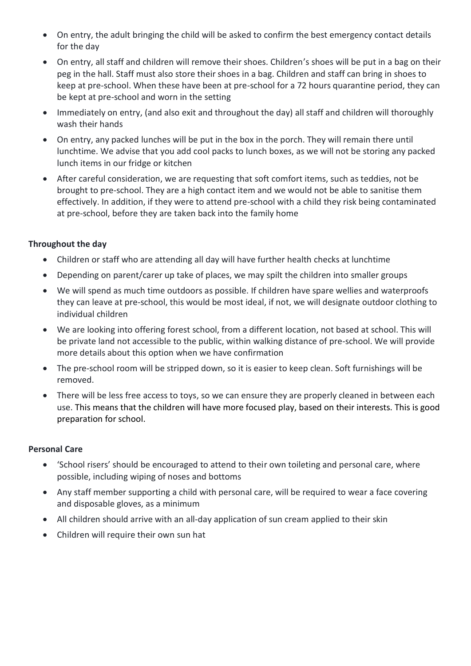- On entry, the adult bringing the child will be asked to confirm the best emergency contact details for the day
- On entry, all staff and children will remove their shoes. Children's shoes will be put in a bag on their peg in the hall. Staff must also store their shoes in a bag. Children and staff can bring in shoes to keep at pre-school. When these have been at pre-school for a 72 hours quarantine period, they can be kept at pre-school and worn in the setting
- Immediately on entry, (and also exit and throughout the day) all staff and children will thoroughly wash their hands
- On entry, any packed lunches will be put in the box in the porch. They will remain there until lunchtime. We advise that you add cool packs to lunch boxes, as we will not be storing any packed lunch items in our fridge or kitchen
- After careful consideration, we are requesting that soft comfort items, such as teddies, not be brought to pre-school. They are a high contact item and we would not be able to sanitise them effectively. In addition, if they were to attend pre-school with a child they risk being contaminated at pre-school, before they are taken back into the family home

#### **Throughout the day**

- Children or staff who are attending all day will have further health checks at lunchtime
- Depending on parent/carer up take of places, we may spilt the children into smaller groups
- We will spend as much time outdoors as possible. If children have spare wellies and waterproofs they can leave at pre-school, this would be most ideal, if not, we will designate outdoor clothing to individual children
- We are looking into offering forest school, from a different location, not based at school. This will be private land not accessible to the public, within walking distance of pre-school. We will provide more details about this option when we have confirmation
- The pre-school room will be stripped down, so it is easier to keep clean. Soft furnishings will be removed.
- There will be less free access to toys, so we can ensure they are properly cleaned in between each use. This means that the children will have more focused play, based on their interests. This is good preparation for school.

#### **Personal Care**

- 'School risers' should be encouraged to attend to their own toileting and personal care, where possible, including wiping of noses and bottoms
- Any staff member supporting a child with personal care, will be required to wear a face covering and disposable gloves, as a minimum
- All children should arrive with an all-day application of sun cream applied to their skin
- Children will require their own sun hat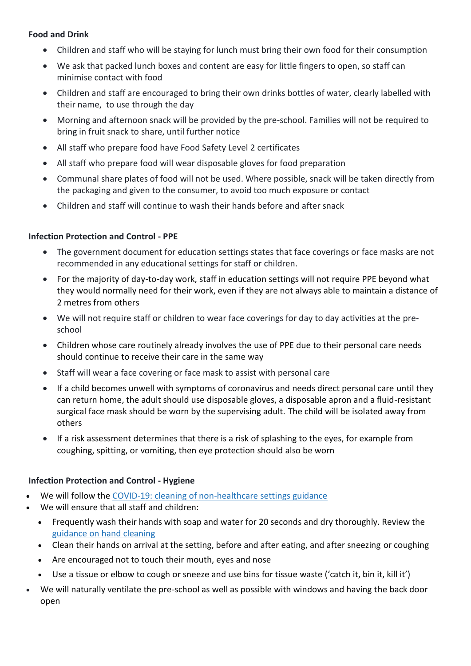#### **Food and Drink**

- Children and staff who will be staying for lunch must bring their own food for their consumption
- We ask that packed lunch boxes and content are easy for little fingers to open, so staff can minimise contact with food
- Children and staff are encouraged to bring their own drinks bottles of water, clearly labelled with their name, to use through the day
- Morning and afternoon snack will be provided by the pre-school. Families will not be required to bring in fruit snack to share, until further notice
- All staff who prepare food have Food Safety Level 2 certificates
- All staff who prepare food will wear disposable gloves for food preparation
- Communal share plates of food will not be used. Where possible, snack will be taken directly from the packaging and given to the consumer, to avoid too much exposure or contact
- Children and staff will continue to wash their hands before and after snack

#### **Infection Protection and Control - PPE**

- The government document for education settings states that face coverings or face masks are not recommended in any educational settings for staff or children.
- For the majority of day-to-day work, staff in education settings will not require PPE beyond what they would normally need for their work, even if they are not always able to maintain a distance of 2 metres from others
- We will not require staff or children to wear face coverings for day to day activities at the preschool
- Children whose care routinely already involves the use of PPE due to their personal care needs should continue to receive their care in the same way
- Staff will wear a face covering or face mask to assist with personal care
- If a child becomes unwell with symptoms of coronavirus and needs direct personal care until they can return home, the adult should use disposable gloves, a disposable apron and a fluid-resistant surgical face mask should be worn by the supervising adult. The child will be isolated away from others
- If a risk assessment determines that there is a risk of splashing to the eyes, for example from coughing, spitting, or vomiting, then eye protection should also be worn

#### **Infection Protection and Control - Hygiene**

- We will follow the COVID-19: cleaning of [non-healthcare](https://www.gov.uk/government/publications/covid-19-decontamination-in-non-healthcare-settings) settings guidance
- We will ensure that all staff and children:
	- Frequently wash their hands with soap and water for 20 seconds and dry thoroughly. Review the [guidance](https://www.gov.uk/guidance/coronavirus-covid-19-information-for-the-public) on hand cleaning
	- Clean their hands on arrival at the setting, before and after eating, and after sneezing or coughing
	- Are encouraged not to touch their mouth, eyes and nose
	- Use a tissue or elbow to cough or sneeze and use bins for tissue waste ('catch it, bin it, kill it')
- We will naturally ventilate the pre-school as well as possible with windows and having the back door open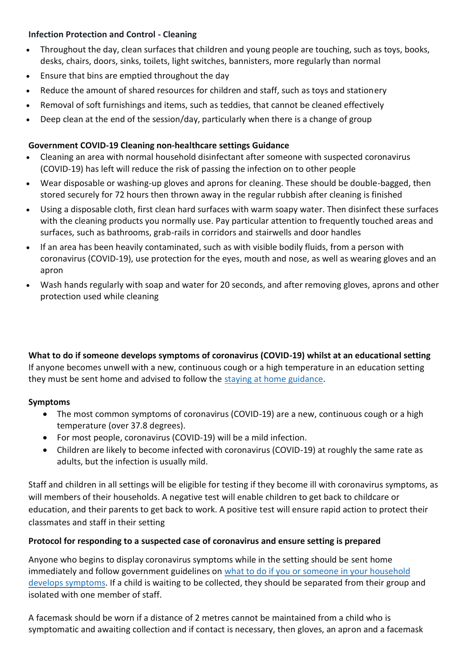#### **Infection Protection and Control - Cleaning**

- Throughout the day, clean surfaces that children and young people are touching, such as toys, books, desks, chairs, doors, sinks, toilets, light switches, bannisters, more regularly than normal
- Ensure that bins are emptied throughout the day
- Reduce the amount of shared resources for children and staff, such as toys and stationery
- Removal of soft furnishings and items, such as teddies, that cannot be cleaned effectively
- Deep clean at the end of the session/day, particularly when there is a change of group

#### **Government COVID-19 Cleaning non-healthcare settings Guidance**

- Cleaning an area with normal household disinfectant after someone with suspected coronavirus (COVID-19) has left will reduce the risk of passing the infection on to other people
- Wear disposable or washing-up gloves and aprons for cleaning. These should be double-bagged, then stored securely for 72 hours then thrown away in the regular rubbish after cleaning is finished
- Using a disposable cloth, first clean hard surfaces with warm soapy water. Then disinfect these surfaces with the cleaning products you normally use. Pay particular attention to frequently touched areas and surfaces, such as bathrooms, grab-rails in corridors and stairwells and door handles
- If an area has been heavily contaminated, such as with visible bodily fluids, from a person with coronavirus (COVID-19), use protection for the eyes, mouth and nose, as well as wearing gloves and an apron
- Wash hands regularly with soap and water for 20 seconds, and after removing gloves, aprons and other protection used while cleaning

**What to do if someone develops symptoms of coronavirus (COVID-19) whilst at an educational setting** If anyone becomes unwell with a new, continuous cough or a high temperature in an education setting they must be sent home and advised to follow the staying at home [guidance.](https://www.gov.uk/government/publications/covid-19-stay-at-home-guidance/stay-at-home-guidance-for-people-with-confirmed-or-possible-coronavirus-covid-19-infection)

#### **Symptoms**

- The most common symptoms of coronavirus (COVID-19) are a new, continuous cough or a high temperature (over 37.8 degrees).
- For most people, coronavirus (COVID-19) will be a mild infection.
- Children are likely to become infected with coronavirus (COVID-19) at roughly the same rate as adults, but the infection is usually mild.

Staff and children in all settings will be eligible for testing if they become ill with coronavirus symptoms, as will members of their households. A negative test will enable children to get back to childcare or education, and their parents to get back to work. A positive test will ensure rapid action to protect their classmates and staff in their setting

#### **Protocol for responding to a suspected case of coronavirus and ensure setting is prepared**

Anyone who begins to display coronavirus symptoms while in the setting should be sent home immediately and follow government guidelines on what to do if you or someone in your [household](https://www.gov.uk/government/publications/covid-19-stay-at-home-guidance) develops [symptoms.](https://www.gov.uk/government/publications/covid-19-stay-at-home-guidance) If a child is waiting to be collected, they should be separated from their group and isolated with one member of staff.

A facemask should be worn if a distance of 2 metres cannot be maintained from a child who is symptomatic and awaiting collection and if contact is necessary, then gloves, an apron and a facemask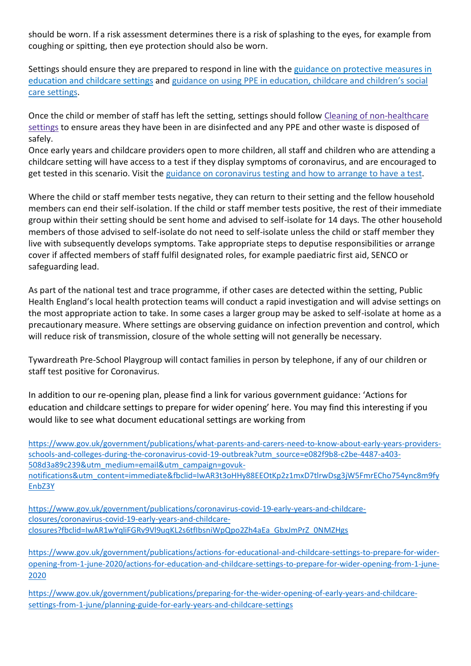should be worn. If a risk assessment determines there is a risk of splashing to the eyes, for example from coughing or spitting, then eye protection should also be worn.

Settings should ensure they are prepared to respond in line with the guidance on [protective](https://www.gov.uk/government/publications/coronavirus-covid-19-implementing-protective-measures-in-education-and-childcare-settings) measures in [education](https://www.gov.uk/government/publications/coronavirus-covid-19-implementing-protective-measures-in-education-and-childcare-settings) and childcare settings and guidance on using PPE in [education,](https://www.gov.uk/government/publications/safe-working-in-education-childcare-and-childrens-social-care) childcare and children's social care [settings.](https://www.gov.uk/government/publications/safe-working-in-education-childcare-and-childrens-social-care)

Once the child or member of staff has left the setting, settings should follow Cleaning of [non-healthcare](https://www.gov.uk/government/publications/covid-19-decontamination-in-non-healthcare-settings/covid-19-decontamination-in-non-healthcare-settings) [settings](https://www.gov.uk/government/publications/covid-19-decontamination-in-non-healthcare-settings/covid-19-decontamination-in-non-healthcare-settings) to ensure areas they have been in are disinfected and any PPE and other waste is disposed of safely.

Once early years and childcare providers open to more children, all staff and children who are attending a childcare setting will have access to a test if they display symptoms of coronavirus, and are encouraged to get tested in this scenario. Visit the guidance on [coronavirus](https://www.nhs.uk/conditions/coronavirus-covid-19/testing-for-coronavirus/) testing and how to arrange to have a test.

Where the child or staff member tests negative, they can return to their setting and the fellow household members can end their self-isolation. If the child or staff member tests positive, the rest of their immediate group within their setting should be sent home and advised to self-isolate for 14 days. The other household members of those advised to self-isolate do not need to self-isolate unless the child or staff member they live with subsequently develops symptoms. Take appropriate steps to deputise responsibilities or arrange cover if affected members of staff fulfil designated roles, for example paediatric first aid, SENCO or safeguarding lead.

As part of the national test and trace programme, if other cases are detected within the setting, Public Health England's local health protection teams will conduct a rapid investigation and will advise settings on the most appropriate action to take. In some cases a larger group may be asked to self-isolate at home as a precautionary measure. Where settings are observing guidance on infection prevention and control, which will reduce risk of transmission, closure of the whole setting will not generally be necessary.

Tywardreath Pre-School Playgroup will contact families in person by telephone, if any of our children or staff test positive for Coronavirus.

In addition to our re-opening plan, please find a link for various government guidance: 'Actions for education and childcare settings to prepare for wider opening' here. You may find this interesting if you would like to see what document educational settings are working from

[https://www.gov.uk/government/publications/what-parents-and-carers-need-to-know-about-early-years-providers](https://www.gov.uk/government/publications/what-parents-and-carers-need-to-know-about-early-years-providers-schools-and-colleges-during-the-coronavirus-covid-19-outbreak?utm_source=e082f9b8-c2be-4487-a403-508d3a89c239&utm_medium=email&utm_campaign=govuk-notifications&utm_content=immediate&fbclid=IwAR3t3oHHy88EEOtKp2z1mxD7tlrwDsg3jW5FmrECho754ync8m9fyEnbZ3Y)[schools-and-colleges-during-the-coronavirus-covid-19-outbreak?utm\\_source=e082f9b8-c2be-4487-a403-](https://www.gov.uk/government/publications/what-parents-and-carers-need-to-know-about-early-years-providers-schools-and-colleges-during-the-coronavirus-covid-19-outbreak?utm_source=e082f9b8-c2be-4487-a403-508d3a89c239&utm_medium=email&utm_campaign=govuk-notifications&utm_content=immediate&fbclid=IwAR3t3oHHy88EEOtKp2z1mxD7tlrwDsg3jW5FmrECho754ync8m9fyEnbZ3Y) [508d3a89c239&utm\\_medium=email&utm\\_campaign=govuk](https://www.gov.uk/government/publications/what-parents-and-carers-need-to-know-about-early-years-providers-schools-and-colleges-during-the-coronavirus-covid-19-outbreak?utm_source=e082f9b8-c2be-4487-a403-508d3a89c239&utm_medium=email&utm_campaign=govuk-notifications&utm_content=immediate&fbclid=IwAR3t3oHHy88EEOtKp2z1mxD7tlrwDsg3jW5FmrECho754ync8m9fyEnbZ3Y)[notifications&utm\\_content=immediate&fbclid=IwAR3t3oHHy88EEOtKp2z1mxD7tlrwDsg3jW5FmrECho754ync8m9fy](https://www.gov.uk/government/publications/what-parents-and-carers-need-to-know-about-early-years-providers-schools-and-colleges-during-the-coronavirus-covid-19-outbreak?utm_source=e082f9b8-c2be-4487-a403-508d3a89c239&utm_medium=email&utm_campaign=govuk-notifications&utm_content=immediate&fbclid=IwAR3t3oHHy88EEOtKp2z1mxD7tlrwDsg3jW5FmrECho754ync8m9fyEnbZ3Y) [EnbZ3Y](https://www.gov.uk/government/publications/what-parents-and-carers-need-to-know-about-early-years-providers-schools-and-colleges-during-the-coronavirus-covid-19-outbreak?utm_source=e082f9b8-c2be-4487-a403-508d3a89c239&utm_medium=email&utm_campaign=govuk-notifications&utm_content=immediate&fbclid=IwAR3t3oHHy88EEOtKp2z1mxD7tlrwDsg3jW5FmrECho754ync8m9fyEnbZ3Y)

[https://www.gov.uk/government/publications/coronavirus-covid-19-early-years-and-childcare](https://www.gov.uk/government/publications/coronavirus-covid-19-early-years-and-childcare-closures/coronavirus-covid-19-early-years-and-childcare-closures?fbclid=IwAR1wYqliFGRv9Vl9uqKL2s6tfIbsniWpQpo2Zh4aEa_GbxJmPrZ_0NMZHgs)[closures/coronavirus-covid-19-early-years-and-childcare](https://www.gov.uk/government/publications/coronavirus-covid-19-early-years-and-childcare-closures/coronavirus-covid-19-early-years-and-childcare-closures?fbclid=IwAR1wYqliFGRv9Vl9uqKL2s6tfIbsniWpQpo2Zh4aEa_GbxJmPrZ_0NMZHgs)[closures?fbclid=IwAR1wYqliFGRv9Vl9uqKL2s6tfIbsniWpQpo2Zh4aEa\\_GbxJmPrZ\\_0NMZHgs](https://www.gov.uk/government/publications/coronavirus-covid-19-early-years-and-childcare-closures/coronavirus-covid-19-early-years-and-childcare-closures?fbclid=IwAR1wYqliFGRv9Vl9uqKL2s6tfIbsniWpQpo2Zh4aEa_GbxJmPrZ_0NMZHgs)

[https://www.gov.uk/government/publications/actions-for-educational-and-childcare-settings-to-prepare-for-wider](https://www.gov.uk/government/publications/actions-for-educational-and-childcare-settings-to-prepare-for-wider-opening-from-1-june-2020/actions-for-education-and-childcare-settings-to-prepare-for-wider-opening-from-1-june-2020)[opening-from-1-june-2020/actions-for-education-and-childcare-settings-to-prepare-for-wider-opening-from-1-june-](https://www.gov.uk/government/publications/actions-for-educational-and-childcare-settings-to-prepare-for-wider-opening-from-1-june-2020/actions-for-education-and-childcare-settings-to-prepare-for-wider-opening-from-1-june-2020)[2020](https://www.gov.uk/government/publications/actions-for-educational-and-childcare-settings-to-prepare-for-wider-opening-from-1-june-2020/actions-for-education-and-childcare-settings-to-prepare-for-wider-opening-from-1-june-2020)

[https://www.gov.uk/government/publications/preparing-for-the-wider-opening-of-early-years-and-childcare](https://www.gov.uk/government/publications/preparing-for-the-wider-opening-of-early-years-and-childcare-settings-from-1-june/planning-guide-for-early-years-and-childcare-settings)[settings-from-1-june/planning-guide-for-early-years-and-childcare-settings](https://www.gov.uk/government/publications/preparing-for-the-wider-opening-of-early-years-and-childcare-settings-from-1-june/planning-guide-for-early-years-and-childcare-settings)